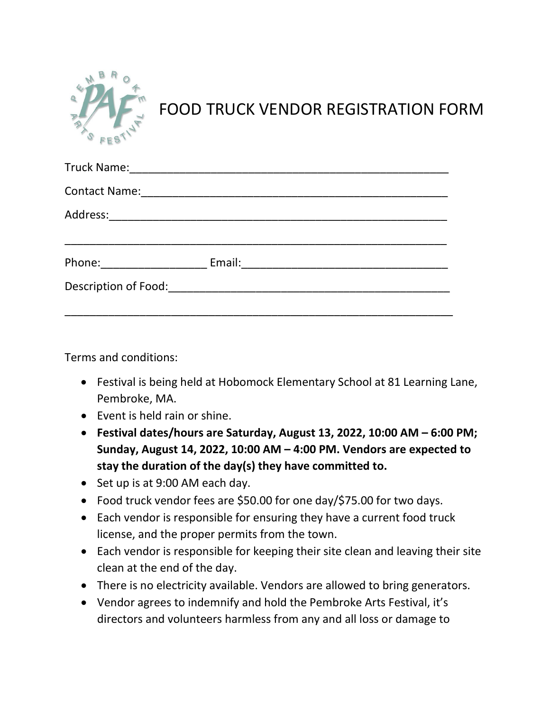

FOOD TRUCK VENDOR REGISTRATION FORM

| Contact Name: <u>__________________________________</u> |  |
|---------------------------------------------------------|--|
|                                                         |  |
|                                                         |  |
| Description of Food: Description of Food:               |  |

Terms and conditions:

- Festival is being held at Hobomock Elementary School at 81 Learning Lane, Pembroke, MA.
- Event is held rain or shine.
- **Festival dates/hours are Saturday, August 13, 2022, 10:00 AM – 6:00 PM; Sunday, August 14, 2022, 10:00 AM – 4:00 PM. Vendors are expected to stay the duration of the day(s) they have committed to.**
- Set up is at 9:00 AM each day.
- Food truck vendor fees are \$50.00 for one day/\$75.00 for two days.
- Each vendor is responsible for ensuring they have a current food truck license, and the proper permits from the town.
- Each vendor is responsible for keeping their site clean and leaving their site clean at the end of the day.
- There is no electricity available. Vendors are allowed to bring generators.
- Vendor agrees to indemnify and hold the Pembroke Arts Festival, it's directors and volunteers harmless from any and all loss or damage to